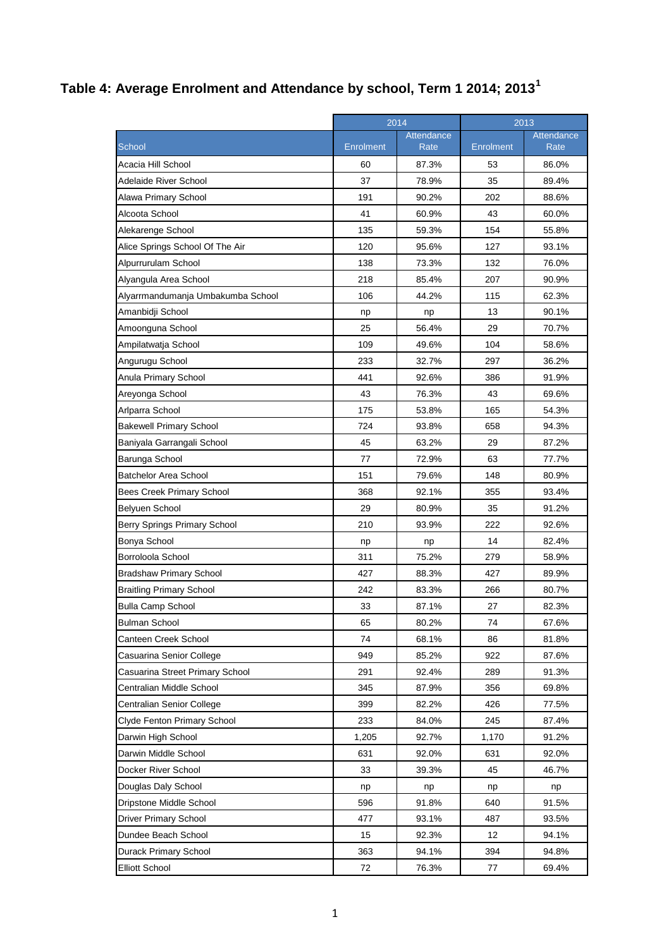## **Table 4: Average Enrolment and Attendance by school, Term 1 2014; 2013<sup>1</sup>**

|                                    | 2014             |                    | 2013      |                    |
|------------------------------------|------------------|--------------------|-----------|--------------------|
| School                             | <b>Enrolment</b> | Attendance<br>Rate | Enrolment | Attendance<br>Rate |
| Acacia Hill School                 | 60               | 87.3%              | 53        | 86.0%              |
| Adelaide River School              | 37               | 78.9%              | 35        | 89.4%              |
| Alawa Primary School               | 191              | 90.2%              | 202       | 88.6%              |
| Alcoota School                     | 41               | 60.9%              | 43        | 60.0%              |
| Alekarenge School                  | 135              | 59.3%              | 154       | 55.8%              |
| Alice Springs School Of The Air    | 120              | 95.6%              | 127       | 93.1%              |
| Alpurrurulam School                | 138              | 73.3%              | 132       | 76.0%              |
| Alyangula Area School              | 218              | 85.4%              | 207       | 90.9%              |
| Alyarrmandumanja Umbakumba School  | 106              | 44.2%              | 115       | 62.3%              |
| Amanbidji School                   | np               | np                 | 13        | 90.1%              |
| Amoonguna School                   | 25               | 56.4%              | 29        | 70.7%              |
| Ampilatwatja School                | 109              | 49.6%              | 104       | 58.6%              |
| Angurugu School                    | 233              | 32.7%              | 297       | 36.2%              |
| Anula Primary School               | 441              | 92.6%              | 386       | 91.9%              |
| Areyonga School                    | 43               | 76.3%              | 43        | 69.6%              |
| Arlparra School                    | 175              | 53.8%              | 165       | 54.3%              |
| <b>Bakewell Primary School</b>     | 724              | 93.8%              | 658       | 94.3%              |
| Baniyala Garrangali School         | 45               | 63.2%              | 29        | 87.2%              |
| Barunga School                     | 77               | 72.9%              | 63        | 77.7%              |
| <b>Batchelor Area School</b>       | 151              | 79.6%              | 148       | 80.9%              |
| Bees Creek Primary School          | 368              | 92.1%              | 355       | 93.4%              |
| Belyuen School                     | 29               | 80.9%              | 35        | 91.2%              |
| Berry Springs Primary School       | 210              | 93.9%              | 222       | 92.6%              |
| Bonya School                       | np               | np                 | 14        | 82.4%              |
| Borroloola School                  | 311              | 75.2%              | 279       | 58.9%              |
| <b>Bradshaw Primary School</b>     | 427              | 88.3%              | 427       | 89.9%              |
| <b>Braitling Primary School</b>    | 242              | 83.3%              | 266       | 80.7%              |
| <b>Bulla Camp School</b>           | 33               | 87.1%              | 27        | 82.3%              |
| <b>Bulman School</b>               | 65               | 80.2%              | 74        | 67.6%              |
| Canteen Creek School               | 74               | 68.1%              | 86        | 81.8%              |
| Casuarina Senior College           | 949              | 85.2%              | 922       | 87.6%              |
| Casuarina Street Primary School    | 291              | 92.4%              | 289       | 91.3%              |
| Centralian Middle School           | 345              | 87.9%              | 356       | 69.8%              |
| Centralian Senior College          | 399              | 82.2%              | 426       | 77.5%              |
| <b>Clyde Fenton Primary School</b> | 233              | 84.0%              | 245       | 87.4%              |
| Darwin High School                 | 1,205            | 92.7%              | 1,170     | 91.2%              |
| Darwin Middle School               | 631              | 92.0%              | 631       | 92.0%              |
| Docker River School                | 33               | 39.3%              | 45        | 46.7%              |
| Douglas Daly School                | np               | np                 | np        | np                 |
| Dripstone Middle School            | 596              | 91.8%              | 640       | 91.5%              |
| Driver Primary School              | 477              | 93.1%              | 487       | 93.5%              |
| Dundee Beach School                | 15               | 92.3%              | 12        | 94.1%              |
| Durack Primary School              | 363              | 94.1%              | 394       | 94.8%              |
| <b>Elliott School</b>              | 72               | 76.3%              | 77        | 69.4%              |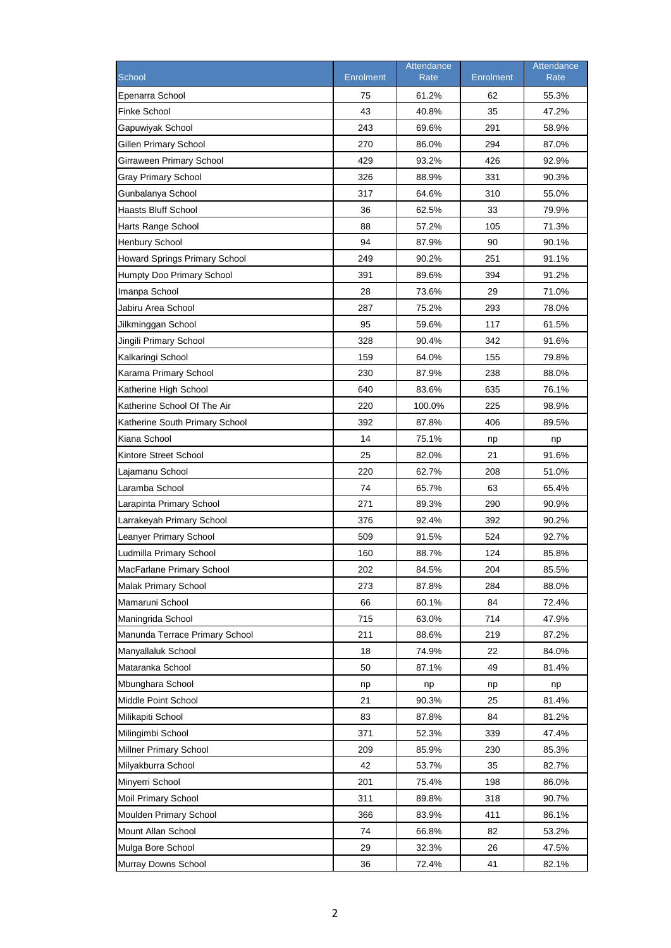| 61.2%<br>55.3%<br>75<br>62<br>43<br>35<br>40.8%<br>47.2%<br>243<br>69.6%<br>291<br>58.9%<br>270<br>86.0%<br>294<br>87.0%<br>429<br>93.2%<br>426<br>Girraween Primary School<br>92.9%<br><b>Gray Primary School</b><br>326<br>88.9%<br>331<br>90.3%<br>Gunbalanya School<br>317<br>64.6%<br>310<br>55.0%<br>36<br>33<br>79.9%<br>62.5%<br>88<br>57.2%<br>71.3%<br>105<br>94<br>87.9%<br>90<br>90.1%<br>249<br>251<br>91.1%<br>90.2%<br>391<br>394<br>91.2%<br>89.6%<br>28<br>29<br>73.6%<br>71.0%<br>287<br>Jabiru Area School<br>75.2%<br>293<br>78.0%<br>95<br>117<br>59.6%<br>61.5%<br>Jingili Primary School<br>328<br>90.4%<br>342<br>91.6%<br>159<br>64.0%<br>155<br>79.8%<br>230<br>87.9%<br>238<br>88.0%<br>640<br>83.6%<br>635<br>76.1%<br>220<br>100.0%<br>225<br>98.9%<br>392<br>406<br>87.8%<br>89.5%<br>14<br>75.1%<br>np<br>np<br>25<br>82.0%<br>21<br>91.6%<br>220<br>62.7%<br>208<br>51.0%<br>74<br>65.7%<br>63<br>65.4%<br>271<br>89.3%<br>290<br>90.9%<br>376<br>392<br>92.4%<br>90.2%<br>Leanyer Primary School<br>509<br>91.5%<br>524<br>92.7%<br>160<br>88.7%<br>124<br>85.8%<br>84.5%<br>204<br>202<br>85.5%<br>273<br>87.8%<br>284<br>88.0%<br>66<br>60.1%<br>84<br>72.4%<br>715<br>714<br>63.0%<br>47.9%<br>211<br>88.6%<br>219<br>87.2%<br>22<br>18<br>74.9%<br>84.0%<br>50<br>87.1%<br>49<br>81.4%<br>np<br>np<br>np<br>np<br>21<br>90.3%<br>25<br>81.4%<br>83<br>87.8%<br>84<br>81.2%<br>371<br>52.3%<br>339<br>47.4%<br>209<br>85.9%<br>230<br>85.3%<br>42<br>53.7%<br>35<br>82.7%<br>201<br>75.4%<br>198<br>86.0%<br>311<br>89.8%<br>318<br>90.7%<br>366<br>83.9%<br>411<br>86.1%<br>74<br>82<br>66.8%<br>53.2%<br>29<br>32.3%<br>26<br>47.5% |                                |           | Attendance |                  | Attendance |
|---------------------------------------------------------------------------------------------------------------------------------------------------------------------------------------------------------------------------------------------------------------------------------------------------------------------------------------------------------------------------------------------------------------------------------------------------------------------------------------------------------------------------------------------------------------------------------------------------------------------------------------------------------------------------------------------------------------------------------------------------------------------------------------------------------------------------------------------------------------------------------------------------------------------------------------------------------------------------------------------------------------------------------------------------------------------------------------------------------------------------------------------------------------------------------------------------------------------------------------------------------------------------------------------------------------------------------------------------------------------------------------------------------------------------------------------------------------------------------------------------------------------------------------------------------------------------------------------------------------------------------------------------------------------------|--------------------------------|-----------|------------|------------------|------------|
|                                                                                                                                                                                                                                                                                                                                                                                                                                                                                                                                                                                                                                                                                                                                                                                                                                                                                                                                                                                                                                                                                                                                                                                                                                                                                                                                                                                                                                                                                                                                                                                                                                                                           | School                         | Enrolment | Rate       | <b>Enrolment</b> | Rate       |
|                                                                                                                                                                                                                                                                                                                                                                                                                                                                                                                                                                                                                                                                                                                                                                                                                                                                                                                                                                                                                                                                                                                                                                                                                                                                                                                                                                                                                                                                                                                                                                                                                                                                           | Epenarra School                |           |            |                  |            |
|                                                                                                                                                                                                                                                                                                                                                                                                                                                                                                                                                                                                                                                                                                                                                                                                                                                                                                                                                                                                                                                                                                                                                                                                                                                                                                                                                                                                                                                                                                                                                                                                                                                                           | <b>Finke School</b>            |           |            |                  |            |
|                                                                                                                                                                                                                                                                                                                                                                                                                                                                                                                                                                                                                                                                                                                                                                                                                                                                                                                                                                                                                                                                                                                                                                                                                                                                                                                                                                                                                                                                                                                                                                                                                                                                           | Gapuwiyak School               |           |            |                  |            |
|                                                                                                                                                                                                                                                                                                                                                                                                                                                                                                                                                                                                                                                                                                                                                                                                                                                                                                                                                                                                                                                                                                                                                                                                                                                                                                                                                                                                                                                                                                                                                                                                                                                                           | <b>Gillen Primary School</b>   |           |            |                  |            |
|                                                                                                                                                                                                                                                                                                                                                                                                                                                                                                                                                                                                                                                                                                                                                                                                                                                                                                                                                                                                                                                                                                                                                                                                                                                                                                                                                                                                                                                                                                                                                                                                                                                                           |                                |           |            |                  |            |
|                                                                                                                                                                                                                                                                                                                                                                                                                                                                                                                                                                                                                                                                                                                                                                                                                                                                                                                                                                                                                                                                                                                                                                                                                                                                                                                                                                                                                                                                                                                                                                                                                                                                           |                                |           |            |                  |            |
|                                                                                                                                                                                                                                                                                                                                                                                                                                                                                                                                                                                                                                                                                                                                                                                                                                                                                                                                                                                                                                                                                                                                                                                                                                                                                                                                                                                                                                                                                                                                                                                                                                                                           |                                |           |            |                  |            |
|                                                                                                                                                                                                                                                                                                                                                                                                                                                                                                                                                                                                                                                                                                                                                                                                                                                                                                                                                                                                                                                                                                                                                                                                                                                                                                                                                                                                                                                                                                                                                                                                                                                                           | <b>Haasts Bluff School</b>     |           |            |                  |            |
|                                                                                                                                                                                                                                                                                                                                                                                                                                                                                                                                                                                                                                                                                                                                                                                                                                                                                                                                                                                                                                                                                                                                                                                                                                                                                                                                                                                                                                                                                                                                                                                                                                                                           | Harts Range School             |           |            |                  |            |
|                                                                                                                                                                                                                                                                                                                                                                                                                                                                                                                                                                                                                                                                                                                                                                                                                                                                                                                                                                                                                                                                                                                                                                                                                                                                                                                                                                                                                                                                                                                                                                                                                                                                           | <b>Henbury School</b>          |           |            |                  |            |
|                                                                                                                                                                                                                                                                                                                                                                                                                                                                                                                                                                                                                                                                                                                                                                                                                                                                                                                                                                                                                                                                                                                                                                                                                                                                                                                                                                                                                                                                                                                                                                                                                                                                           | Howard Springs Primary School  |           |            |                  |            |
|                                                                                                                                                                                                                                                                                                                                                                                                                                                                                                                                                                                                                                                                                                                                                                                                                                                                                                                                                                                                                                                                                                                                                                                                                                                                                                                                                                                                                                                                                                                                                                                                                                                                           | Humpty Doo Primary School      |           |            |                  |            |
|                                                                                                                                                                                                                                                                                                                                                                                                                                                                                                                                                                                                                                                                                                                                                                                                                                                                                                                                                                                                                                                                                                                                                                                                                                                                                                                                                                                                                                                                                                                                                                                                                                                                           | Imanpa School                  |           |            |                  |            |
|                                                                                                                                                                                                                                                                                                                                                                                                                                                                                                                                                                                                                                                                                                                                                                                                                                                                                                                                                                                                                                                                                                                                                                                                                                                                                                                                                                                                                                                                                                                                                                                                                                                                           |                                |           |            |                  |            |
|                                                                                                                                                                                                                                                                                                                                                                                                                                                                                                                                                                                                                                                                                                                                                                                                                                                                                                                                                                                                                                                                                                                                                                                                                                                                                                                                                                                                                                                                                                                                                                                                                                                                           | Jilkminggan School             |           |            |                  |            |
|                                                                                                                                                                                                                                                                                                                                                                                                                                                                                                                                                                                                                                                                                                                                                                                                                                                                                                                                                                                                                                                                                                                                                                                                                                                                                                                                                                                                                                                                                                                                                                                                                                                                           |                                |           |            |                  |            |
|                                                                                                                                                                                                                                                                                                                                                                                                                                                                                                                                                                                                                                                                                                                                                                                                                                                                                                                                                                                                                                                                                                                                                                                                                                                                                                                                                                                                                                                                                                                                                                                                                                                                           | Kalkaringi School              |           |            |                  |            |
|                                                                                                                                                                                                                                                                                                                                                                                                                                                                                                                                                                                                                                                                                                                                                                                                                                                                                                                                                                                                                                                                                                                                                                                                                                                                                                                                                                                                                                                                                                                                                                                                                                                                           | Karama Primary School          |           |            |                  |            |
|                                                                                                                                                                                                                                                                                                                                                                                                                                                                                                                                                                                                                                                                                                                                                                                                                                                                                                                                                                                                                                                                                                                                                                                                                                                                                                                                                                                                                                                                                                                                                                                                                                                                           | Katherine High School          |           |            |                  |            |
|                                                                                                                                                                                                                                                                                                                                                                                                                                                                                                                                                                                                                                                                                                                                                                                                                                                                                                                                                                                                                                                                                                                                                                                                                                                                                                                                                                                                                                                                                                                                                                                                                                                                           | Katherine School Of The Air    |           |            |                  |            |
|                                                                                                                                                                                                                                                                                                                                                                                                                                                                                                                                                                                                                                                                                                                                                                                                                                                                                                                                                                                                                                                                                                                                                                                                                                                                                                                                                                                                                                                                                                                                                                                                                                                                           | Katherine South Primary School |           |            |                  |            |
|                                                                                                                                                                                                                                                                                                                                                                                                                                                                                                                                                                                                                                                                                                                                                                                                                                                                                                                                                                                                                                                                                                                                                                                                                                                                                                                                                                                                                                                                                                                                                                                                                                                                           | Kiana School                   |           |            |                  |            |
|                                                                                                                                                                                                                                                                                                                                                                                                                                                                                                                                                                                                                                                                                                                                                                                                                                                                                                                                                                                                                                                                                                                                                                                                                                                                                                                                                                                                                                                                                                                                                                                                                                                                           | Kintore Street School          |           |            |                  |            |
|                                                                                                                                                                                                                                                                                                                                                                                                                                                                                                                                                                                                                                                                                                                                                                                                                                                                                                                                                                                                                                                                                                                                                                                                                                                                                                                                                                                                                                                                                                                                                                                                                                                                           | Lajamanu School                |           |            |                  |            |
|                                                                                                                                                                                                                                                                                                                                                                                                                                                                                                                                                                                                                                                                                                                                                                                                                                                                                                                                                                                                                                                                                                                                                                                                                                                                                                                                                                                                                                                                                                                                                                                                                                                                           | Laramba School                 |           |            |                  |            |
|                                                                                                                                                                                                                                                                                                                                                                                                                                                                                                                                                                                                                                                                                                                                                                                                                                                                                                                                                                                                                                                                                                                                                                                                                                                                                                                                                                                                                                                                                                                                                                                                                                                                           | Larapinta Primary School       |           |            |                  |            |
|                                                                                                                                                                                                                                                                                                                                                                                                                                                                                                                                                                                                                                                                                                                                                                                                                                                                                                                                                                                                                                                                                                                                                                                                                                                                                                                                                                                                                                                                                                                                                                                                                                                                           | Larrakeyah Primary School      |           |            |                  |            |
|                                                                                                                                                                                                                                                                                                                                                                                                                                                                                                                                                                                                                                                                                                                                                                                                                                                                                                                                                                                                                                                                                                                                                                                                                                                                                                                                                                                                                                                                                                                                                                                                                                                                           |                                |           |            |                  |            |
|                                                                                                                                                                                                                                                                                                                                                                                                                                                                                                                                                                                                                                                                                                                                                                                                                                                                                                                                                                                                                                                                                                                                                                                                                                                                                                                                                                                                                                                                                                                                                                                                                                                                           | Ludmilla Primary School        |           |            |                  |            |
|                                                                                                                                                                                                                                                                                                                                                                                                                                                                                                                                                                                                                                                                                                                                                                                                                                                                                                                                                                                                                                                                                                                                                                                                                                                                                                                                                                                                                                                                                                                                                                                                                                                                           | MacFarlane Primary School      |           |            |                  |            |
|                                                                                                                                                                                                                                                                                                                                                                                                                                                                                                                                                                                                                                                                                                                                                                                                                                                                                                                                                                                                                                                                                                                                                                                                                                                                                                                                                                                                                                                                                                                                                                                                                                                                           | Malak Primary School           |           |            |                  |            |
|                                                                                                                                                                                                                                                                                                                                                                                                                                                                                                                                                                                                                                                                                                                                                                                                                                                                                                                                                                                                                                                                                                                                                                                                                                                                                                                                                                                                                                                                                                                                                                                                                                                                           | Mamaruni School                |           |            |                  |            |
|                                                                                                                                                                                                                                                                                                                                                                                                                                                                                                                                                                                                                                                                                                                                                                                                                                                                                                                                                                                                                                                                                                                                                                                                                                                                                                                                                                                                                                                                                                                                                                                                                                                                           | Maningrida School              |           |            |                  |            |
|                                                                                                                                                                                                                                                                                                                                                                                                                                                                                                                                                                                                                                                                                                                                                                                                                                                                                                                                                                                                                                                                                                                                                                                                                                                                                                                                                                                                                                                                                                                                                                                                                                                                           | Manunda Terrace Primary School |           |            |                  |            |
|                                                                                                                                                                                                                                                                                                                                                                                                                                                                                                                                                                                                                                                                                                                                                                                                                                                                                                                                                                                                                                                                                                                                                                                                                                                                                                                                                                                                                                                                                                                                                                                                                                                                           | Manyallaluk School             |           |            |                  |            |
|                                                                                                                                                                                                                                                                                                                                                                                                                                                                                                                                                                                                                                                                                                                                                                                                                                                                                                                                                                                                                                                                                                                                                                                                                                                                                                                                                                                                                                                                                                                                                                                                                                                                           | Mataranka School               |           |            |                  |            |
|                                                                                                                                                                                                                                                                                                                                                                                                                                                                                                                                                                                                                                                                                                                                                                                                                                                                                                                                                                                                                                                                                                                                                                                                                                                                                                                                                                                                                                                                                                                                                                                                                                                                           | Mbunghara School               |           |            |                  |            |
|                                                                                                                                                                                                                                                                                                                                                                                                                                                                                                                                                                                                                                                                                                                                                                                                                                                                                                                                                                                                                                                                                                                                                                                                                                                                                                                                                                                                                                                                                                                                                                                                                                                                           | Middle Point School            |           |            |                  |            |
|                                                                                                                                                                                                                                                                                                                                                                                                                                                                                                                                                                                                                                                                                                                                                                                                                                                                                                                                                                                                                                                                                                                                                                                                                                                                                                                                                                                                                                                                                                                                                                                                                                                                           | Milikapiti School              |           |            |                  |            |
|                                                                                                                                                                                                                                                                                                                                                                                                                                                                                                                                                                                                                                                                                                                                                                                                                                                                                                                                                                                                                                                                                                                                                                                                                                                                                                                                                                                                                                                                                                                                                                                                                                                                           | Milingimbi School              |           |            |                  |            |
|                                                                                                                                                                                                                                                                                                                                                                                                                                                                                                                                                                                                                                                                                                                                                                                                                                                                                                                                                                                                                                                                                                                                                                                                                                                                                                                                                                                                                                                                                                                                                                                                                                                                           | Millner Primary School         |           |            |                  |            |
|                                                                                                                                                                                                                                                                                                                                                                                                                                                                                                                                                                                                                                                                                                                                                                                                                                                                                                                                                                                                                                                                                                                                                                                                                                                                                                                                                                                                                                                                                                                                                                                                                                                                           | Milyakburra School             |           |            |                  |            |
|                                                                                                                                                                                                                                                                                                                                                                                                                                                                                                                                                                                                                                                                                                                                                                                                                                                                                                                                                                                                                                                                                                                                                                                                                                                                                                                                                                                                                                                                                                                                                                                                                                                                           | Minyerri School                |           |            |                  |            |
|                                                                                                                                                                                                                                                                                                                                                                                                                                                                                                                                                                                                                                                                                                                                                                                                                                                                                                                                                                                                                                                                                                                                                                                                                                                                                                                                                                                                                                                                                                                                                                                                                                                                           | Moil Primary School            |           |            |                  |            |
|                                                                                                                                                                                                                                                                                                                                                                                                                                                                                                                                                                                                                                                                                                                                                                                                                                                                                                                                                                                                                                                                                                                                                                                                                                                                                                                                                                                                                                                                                                                                                                                                                                                                           | Moulden Primary School         |           |            |                  |            |
|                                                                                                                                                                                                                                                                                                                                                                                                                                                                                                                                                                                                                                                                                                                                                                                                                                                                                                                                                                                                                                                                                                                                                                                                                                                                                                                                                                                                                                                                                                                                                                                                                                                                           | Mount Allan School             |           |            |                  |            |
|                                                                                                                                                                                                                                                                                                                                                                                                                                                                                                                                                                                                                                                                                                                                                                                                                                                                                                                                                                                                                                                                                                                                                                                                                                                                                                                                                                                                                                                                                                                                                                                                                                                                           | Mulga Bore School              |           |            |                  |            |
|                                                                                                                                                                                                                                                                                                                                                                                                                                                                                                                                                                                                                                                                                                                                                                                                                                                                                                                                                                                                                                                                                                                                                                                                                                                                                                                                                                                                                                                                                                                                                                                                                                                                           | Murray Downs School            | 36        | 72.4%      | 41               | 82.1%      |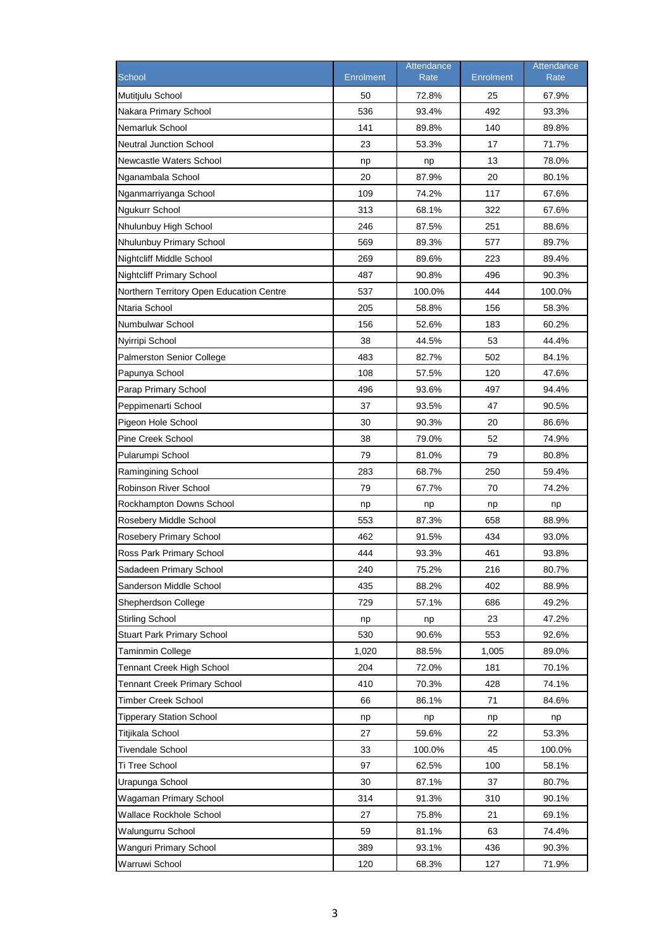| School                                   | <b>Enrolment</b> | Attendance<br>Rate | <b>Enrolment</b> | Attendance<br><b>Rate</b> |
|------------------------------------------|------------------|--------------------|------------------|---------------------------|
|                                          |                  |                    |                  |                           |
| Mutitjulu School                         | 50               | 72.8%              | 25               | 67.9%                     |
| Nakara Primary School                    | 536              | 93.4%              | 492              | 93.3%<br>89.8%            |
| Nemarluk School                          | 141              | 89.8%              | 140              |                           |
| <b>Neutral Junction School</b>           | 23               | 53.3%              | 17               | 71.7%                     |
| Newcastle Waters School                  | np<br>20         | np                 | 13               | 78.0%                     |
| Nganambala School                        |                  | 87.9%              | 20               | 80.1%                     |
| Nganmarriyanga School                    | 109              | 74.2%              | 117              | 67.6%                     |
| <b>Ngukurr School</b>                    | 313              | 68.1%              | 322              | 67.6%                     |
| Nhulunbuy High School                    | 246              | 87.5%              | 251              | 88.6%                     |
| Nhulunbuy Primary School                 | 569              | 89.3%              | 577              | 89.7%                     |
| <b>Nightcliff Middle School</b>          | 269              | 89.6%              | 223              | 89.4%                     |
| <b>Nightcliff Primary School</b>         | 487              | 90.8%              | 496              | 90.3%                     |
| Northern Territory Open Education Centre | 537              | 100.0%             | 444              | 100.0%                    |
| Ntaria School                            | 205              | 58.8%              | 156              | 58.3%                     |
| Numbulwar School                         | 156              | 52.6%              | 183              | 60.2%                     |
| Nyirripi School                          | 38               | 44.5%              | 53               | 44.4%                     |
| <b>Palmerston Senior College</b>         | 483              | 82.7%              | 502              | 84.1%                     |
| Papunya School                           | 108              | 57.5%              | 120              | 47.6%                     |
| Parap Primary School                     | 496              | 93.6%              | 497              | 94.4%                     |
| Peppimenarti School                      | 37               | 93.5%              | 47               | 90.5%                     |
| Pigeon Hole School                       | 30               | 90.3%              | 20               | 86.6%                     |
| <b>Pine Creek School</b>                 | 38               | 79.0%              | 52               | 74.9%                     |
| Pularumpi School                         | 79               | 81.0%              | 79               | 80.8%                     |
| Ramingining School                       | 283              | 68.7%              | 250              | 59.4%                     |
| <b>Robinson River School</b>             | 79               | 67.7%              | 70               | 74.2%                     |
| Rockhampton Downs School                 | np               | np                 | np               | np                        |
| Rosebery Middle School                   | 553              | 87.3%              | 658              | 88.9%                     |
| Rosebery Primary School                  | 462              | 91.5%              | 434              | 93.0%                     |
| Ross Park Primary School                 | 444              | 93.3%              | 461              | 93.8%                     |
| Sadadeen Primary School                  | 240              | 75.2%              | 216              | 80.7%                     |
| Sanderson Middle School                  | 435              | 88.2%              | 402              | 88.9%                     |
| Shepherdson College                      | 729              | 57.1%              | 686              | 49.2%                     |
| <b>Stirling School</b>                   | np               | np                 | 23               | 47.2%                     |
| <b>Stuart Park Primary School</b>        | 530              | 90.6%              | 553              | 92.6%                     |
| <b>Taminmin College</b>                  | 1,020            | 88.5%              | 1,005            | 89.0%                     |
| <b>Tennant Creek High School</b>         | 204              | 72.0%              | 181              | 70.1%                     |
| <b>Tennant Creek Primary School</b>      | 410              | 70.3%              | 428              | 74.1%                     |
| <b>Timber Creek School</b>               | 66               | 86.1%              | 71               | 84.6%                     |
| <b>Tipperary Station School</b>          | np               | np                 | np               | np                        |
| Titjikala School                         | 27               | 59.6%              | 22               | 53.3%                     |
| <b>Tivendale School</b>                  | 33               | 100.0%             | 45               | 100.0%                    |
| Ti Tree School                           | 97               | 62.5%              | 100              | 58.1%                     |
| Urapunga School                          | 30               | 87.1%              | 37               | 80.7%                     |
| Wagaman Primary School                   | 314              | 91.3%              | 310              | 90.1%                     |
| Wallace Rockhole School                  | 27               | 75.8%              | 21               | 69.1%                     |
| Walungurru School                        | 59               | 81.1%              | 63               | 74.4%                     |
| Wanguri Primary School                   | 389              | 93.1%              | 436              | 90.3%                     |
| Warruwi School                           | 120              | 68.3%              | 127              | 71.9%                     |